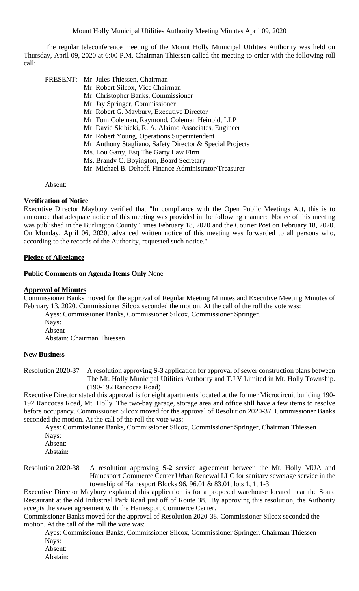The regular teleconference meeting of the Mount Holly Municipal Utilities Authority was held on Thursday, April 09, 2020 at 6:00 P.M. Chairman Thiessen called the meeting to order with the following roll call:

| PRESENT: | Mr. Jules Thiessen, Chairman                              |
|----------|-----------------------------------------------------------|
|          | Mr. Robert Silcox, Vice Chairman                          |
|          | Mr. Christopher Banks, Commissioner                       |
|          | Mr. Jay Springer, Commissioner                            |
|          | Mr. Robert G. Maybury, Executive Director                 |
|          | Mr. Tom Coleman, Raymond, Coleman Heinold, LLP            |
|          | Mr. David Skibicki, R. A. Alaimo Associates, Engineer     |
|          | Mr. Robert Young, Operations Superintendent               |
|          | Mr. Anthony Stagliano, Safety Director & Special Projects |
|          | Ms. Lou Garty, Esq The Garty Law Firm                     |
|          | Ms. Brandy C. Boyington, Board Secretary                  |
|          | Mr. Michael B. Dehoff, Finance Administrator/Treasurer    |
|          |                                                           |

Absent:

### **Verification of Notice**

Executive Director Maybury verified that "In compliance with the Open Public Meetings Act, this is to announce that adequate notice of this meeting was provided in the following manner: Notice of this meeting was published in the Burlington County Times February 18, 2020 and the Courier Post on February 18, 2020. On Monday, April 06, 2020, advanced written notice of this meeting was forwarded to all persons who, according to the records of the Authority, requested such notice."

### **Pledge of Allegiance**

#### **Public Comments on Agenda Items Only** None

### **Approval of Minutes**

Commissioner Banks moved for the approval of Regular Meeting Minutes and Executive Meeting Minutes of February 13, 2020. Commissioner Silcox seconded the motion. At the call of the roll the vote was:

- Ayes: Commissioner Banks, Commissioner Silcox, Commissioner Springer.
- Nays: Absent

Abstain: Chairman Thiessen

### **New Business**

Resolution 2020-37 A resolution approving **S-3** application for approval of sewer construction plans between The Mt. Holly Municipal Utilities Authority and T.J.V Limited in Mt. Holly Township. (190-192 Rancocas Road)

Executive Director stated this approval is for eight apartments located at the former Microcircuit building 190- 192 Rancocas Road, Mt. Holly. The two-bay garage, storage area and office still have a few items to resolve before occupancy. Commissioner Silcox moved for the approval of Resolution 2020-37. Commissioner Banks seconded the motion. At the call of the roll the vote was:

 Ayes: Commissioner Banks, Commissioner Silcox, Commissioner Springer, Chairman Thiessen Nays:

 Absent: Abstain:

Resolution 2020-38 A resolution approving **S-2** service agreement between the Mt. Holly MUA and Hainesport Commerce Center Urban Renewal LLC for sanitary sewerage service in the township of Hainesport Blocks 96, 96.01 & 83.01, lots 1, 1, 1-3

Executive Director Maybury explained this application is for a proposed warehouse located near the Sonic Restaurant at the old Industrial Park Road just off of Route 38. By approving this resolution, the Authority accepts the sewer agreement with the Hainesport Commerce Center.

Commissioner Banks moved for the approval of Resolution 2020-38. Commissioner Silcox seconded the motion. At the call of the roll the vote was:

Ayes: Commissioner Banks, Commissioner Silcox, Commissioner Springer, Chairman Thiessen Nays:

- Absent:
- Abstain: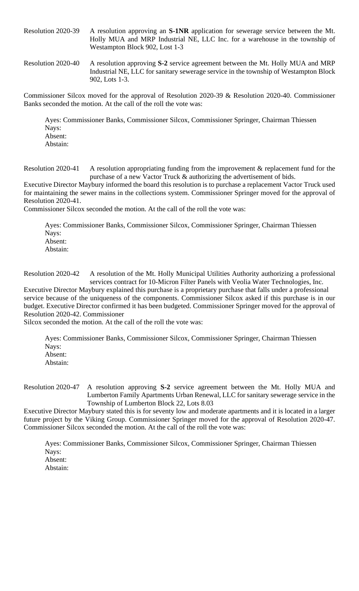Resolution 2020-39 A resolution approving an **S-1NR** application for sewerage service between the Mt. Holly MUA and MRP Industrial NE, LLC Inc. for a warehouse in the township of Westampton Block 902, Lost 1-3

Resolution 2020-40 A resolution approving **S-2** service agreement between the Mt. Holly MUA and MRP Industrial NE, LLC for sanitary sewerage service in the township of Westampton Block 902, Lots 1-3.

Commissioner Silcox moved for the approval of Resolution 2020-39 & Resolution 2020-40. Commissioner Banks seconded the motion. At the call of the roll the vote was:

Ayes: Commissioner Banks, Commissioner Silcox, Commissioner Springer, Chairman Thiessen Nays: Absent:

Abstain:

Resolution 2020-41 A resolution appropriating funding from the improvement & replacement fund for the purchase of a new Vactor Truck & authorizing the advertisement of bids.

Executive Director Maybury informed the board this resolution is to purchase a replacement Vactor Truck used for maintaining the sewer mains in the collections system. Commissioner Springer moved for the approval of Resolution 2020-41.

Commissioner Silcox seconded the motion. At the call of the roll the vote was:

Ayes: Commissioner Banks, Commissioner Silcox, Commissioner Springer, Chairman Thiessen Nays: Absent: Abstain:

Resolution 2020-42 A resolution of the Mt. Holly Municipal Utilities Authority authorizing a professional services contract for 10-Micron Filter Panels with Veolia Water Technologies, Inc.

Executive Director Maybury explained this purchase is a proprietary purchase that falls under a professional service because of the uniqueness of the components. Commissioner Silcox asked if this purchase is in our budget. Executive Director confirmed it has been budgeted. Commissioner Springer moved for the approval of Resolution 2020-42. Commissioner

Silcox seconded the motion. At the call of the roll the vote was:

Ayes: Commissioner Banks, Commissioner Silcox, Commissioner Springer, Chairman Thiessen Nays: Absent: Abstain:

Resolution 2020-47 A resolution approving **S-2** service agreement between the Mt. Holly MUA and Lumberton Family Apartments Urban Renewal, LLC for sanitary sewerage service in the Township of Lumberton Block 22, Lots 8.03

Executive Director Maybury stated this is for seventy low and moderate apartments and it is located in a larger future project by the Viking Group. Commissioner Springer moved for the approval of Resolution 2020-47. Commissioner Silcox seconded the motion. At the call of the roll the vote was:

Ayes: Commissioner Banks, Commissioner Silcox, Commissioner Springer, Chairman Thiessen Nays: Absent: Abstain: